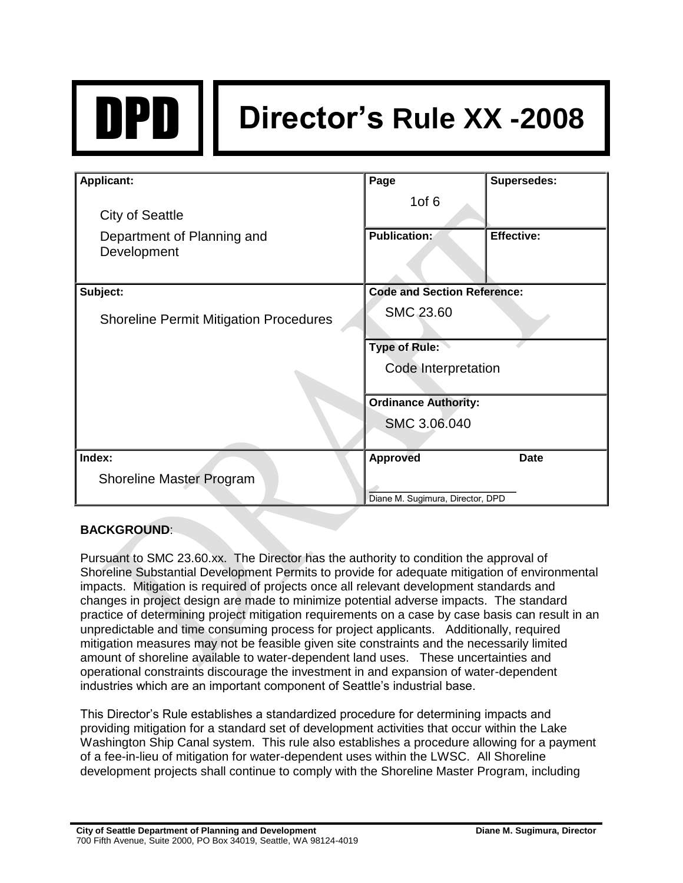

# DPD **Director's Rule XX -2008**

| Applicant:                                                          | Page                               | Supersedes:       |
|---------------------------------------------------------------------|------------------------------------|-------------------|
| <b>City of Seattle</b><br>Department of Planning and<br>Development | 1 $of 6$<br><b>Publication:</b>    | <b>Effective:</b> |
| Subject:                                                            | <b>Code and Section Reference:</b> |                   |
| <b>Shoreline Permit Mitigation Procedures</b>                       | <b>SMC 23.60</b>                   |                   |
|                                                                     | <b>Type of Rule:</b>               |                   |
|                                                                     | Code Interpretation                |                   |
|                                                                     | <b>Ordinance Authority:</b>        |                   |
|                                                                     | SMC 3.06.040                       |                   |
| Index:                                                              | <b>Approved</b>                    | <b>Date</b>       |
| <b>Shoreline Master Program</b>                                     |                                    |                   |
|                                                                     | Diane M. Sugimura, Director, DPD   |                   |

# **BACKGROUND**:

Pursuant to SMC 23.60.xx. The Director has the authority to condition the approval of Shoreline Substantial Development Permits to provide for adequate mitigation of environmental impacts. Mitigation is required of projects once all relevant development standards and changes in project design are made to minimize potential adverse impacts. The standard practice of determining project mitigation requirements on a case by case basis can result in an unpredictable and time consuming process for project applicants. Additionally, required mitigation measures may not be feasible given site constraints and the necessarily limited amount of shoreline available to water-dependent land uses. These uncertainties and operational constraints discourage the investment in and expansion of water-dependent industries which are an important component of Seattle's industrial base.

This Director's Rule establishes a standardized procedure for determining impacts and providing mitigation for a standard set of development activities that occur within the Lake Washington Ship Canal system. This rule also establishes a procedure allowing for a payment of a fee-in-lieu of mitigation for water-dependent uses within the LWSC. All Shoreline development projects shall continue to comply with the Shoreline Master Program, including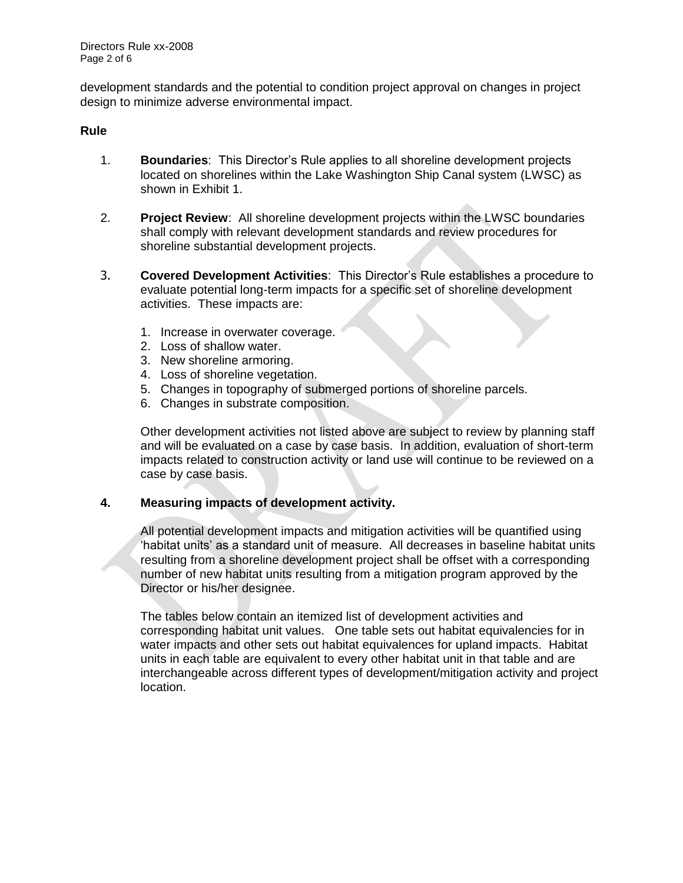development standards and the potential to condition project approval on changes in project design to minimize adverse environmental impact.

#### **Rule**

- 1. **Boundaries**: This Director's Rule applies to all shoreline development projects located on shorelines within the Lake Washington Ship Canal system (LWSC) as shown in Exhibit 1.
- 2. **Project Review**: All shoreline development projects within the LWSC boundaries shall comply with relevant development standards and review procedures for shoreline substantial development projects.
- 3. **Covered Development Activities**: This Director's Rule establishes a procedure to evaluate potential long-term impacts for a specific set of shoreline development activities. These impacts are:
	- 1. Increase in overwater coverage.
	- 2. Loss of shallow water.
	- 3. New shoreline armoring.
	- 4. Loss of shoreline vegetation.
	- 5. Changes in topography of submerged portions of shoreline parcels.
	- 6. Changes in substrate composition.

Other development activities not listed above are subject to review by planning staff and will be evaluated on a case by case basis. In addition, evaluation of short-term impacts related to construction activity or land use will continue to be reviewed on a case by case basis.

#### **4. Measuring impacts of development activity.**

All potential development impacts and mitigation activities will be quantified using 'habitat units' as a standard unit of measure. All decreases in baseline habitat units resulting from a shoreline development project shall be offset with a corresponding number of new habitat units resulting from a mitigation program approved by the Director or his/her designee.

The tables below contain an itemized list of development activities and corresponding habitat unit values. One table sets out habitat equivalencies for in water impacts and other sets out habitat equivalences for upland impacts. Habitat units in each table are equivalent to every other habitat unit in that table and are interchangeable across different types of development/mitigation activity and project location.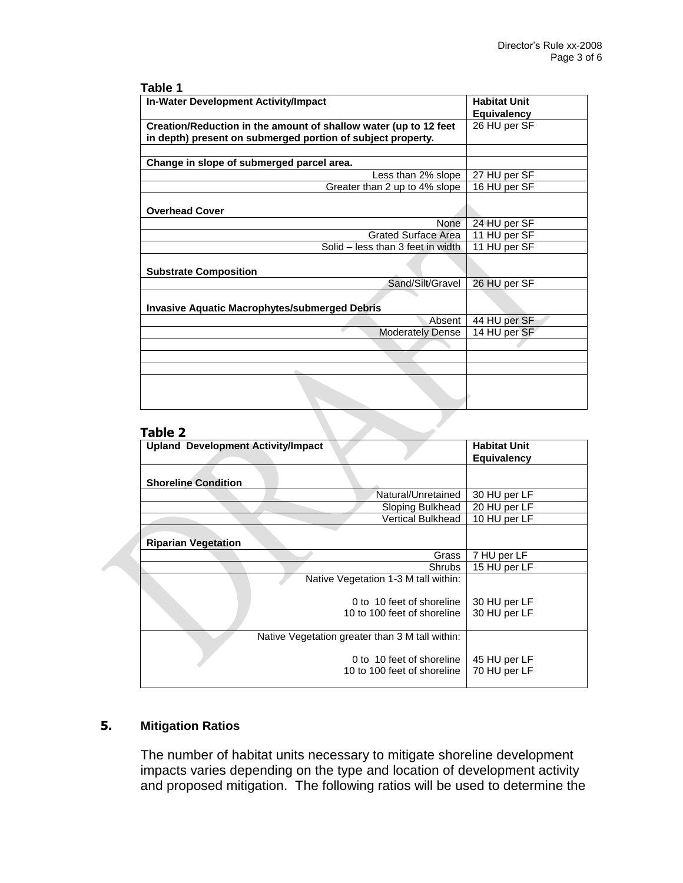| ю |  |  |
|---|--|--|
|---|--|--|

| <b>In-Water Development Activity/Impact</b>                      | <b>Habitat Unit</b> |
|------------------------------------------------------------------|---------------------|
|                                                                  | <b>Equivalency</b>  |
| Creation/Reduction in the amount of shallow water (up to 12 feet | 26 HU per SF        |
| in depth) present on submerged portion of subject property.      |                     |
|                                                                  |                     |
| Change in slope of submerged parcel area.                        |                     |
| Less than 2% slope                                               | 27 HU per SF        |
| Greater than 2 up to 4% slope                                    | 16 HU per SF        |
| <b>Overhead Cover</b>                                            |                     |
| None                                                             | 24 HU per SF        |
| <b>Grated Surface Area</b>                                       | 11 HU per SF        |
| Solid – less than 3 feet in width                                | 11 HU per SF        |
| <b>Substrate Composition</b>                                     |                     |
| Sand/Silt/Gravel                                                 | 26 HU per SF        |
| <b>Invasive Aquatic Macrophytes/submerged Debris</b>             |                     |
| Absent                                                           | 44 HU per SF        |
| <b>Moderately Dense</b>                                          | 14 HU per SF        |
|                                                                  |                     |
|                                                                  |                     |
|                                                                  |                     |
|                                                                  |                     |
| 2 Tahle                                                          |                     |

# **Table 2**

| <b>Upland Development Activity/Impact</b>       | <b>Habitat Unit</b> |
|-------------------------------------------------|---------------------|
|                                                 | <b>Equivalency</b>  |
|                                                 |                     |
| <b>Shoreline Condition</b>                      |                     |
| Natural/Unretained                              | 30 HU per LF        |
| Sloping Bulkhead                                | 20 HU per LF        |
| <b>Vertical Bulkhead</b>                        | 10 HU per LF        |
|                                                 |                     |
| <b>Riparian Vegetation</b>                      |                     |
| Grass                                           | 7 HU per LF         |
| <b>Shrubs</b>                                   | 15 HU per LF        |
| Native Vegetation 1-3 M tall within:            |                     |
|                                                 |                     |
| 0 to 10 feet of shoreline                       | 30 HU per LF        |
| 10 to 100 feet of shoreline                     | 30 HU per LF        |
|                                                 |                     |
| Native Vegetation greater than 3 M tall within: |                     |
| 0 to 10 feet of shoreline                       | 45 HU per LF        |
| 10 to 100 feet of shoreline                     | 70 HU per LF        |
|                                                 |                     |
|                                                 |                     |

# **5. Mitigation Ratios**

The number of habitat units necessary to mitigate shoreline development impacts varies depending on the type and location of development activity and proposed mitigation. The following ratios will be used to determine the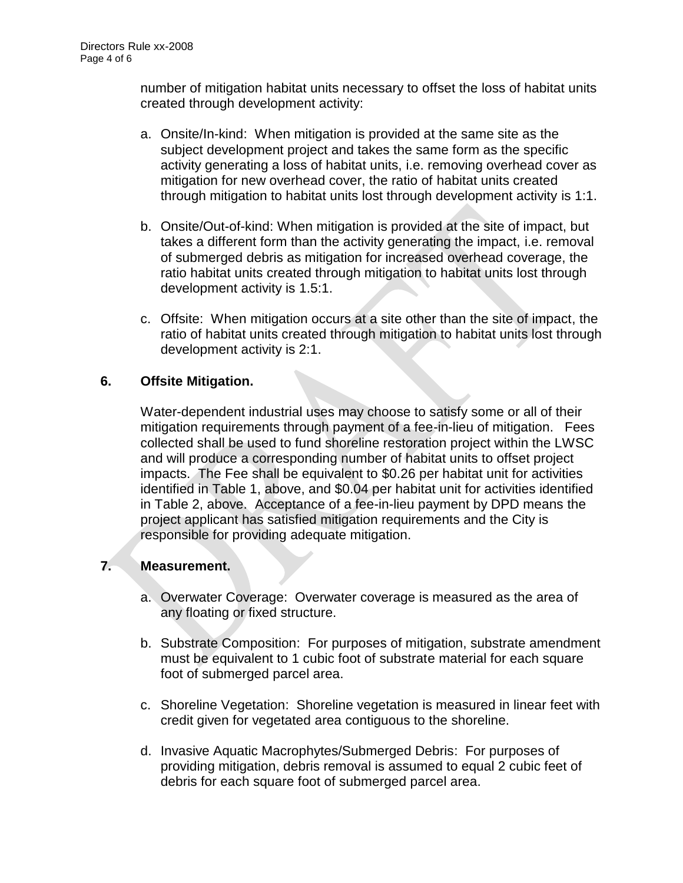number of mitigation habitat units necessary to offset the loss of habitat units created through development activity:

- a. Onsite/In-kind: When mitigation is provided at the same site as the subject development project and takes the same form as the specific activity generating a loss of habitat units, i.e. removing overhead cover as mitigation for new overhead cover, the ratio of habitat units created through mitigation to habitat units lost through development activity is 1:1.
- b. Onsite/Out-of-kind: When mitigation is provided at the site of impact, but takes a different form than the activity generating the impact, i.e. removal of submerged debris as mitigation for increased overhead coverage, the ratio habitat units created through mitigation to habitat units lost through development activity is 1.5:1.
- c. Offsite: When mitigation occurs at a site other than the site of impact, the ratio of habitat units created through mitigation to habitat units lost through development activity is 2:1.

# **6. Offsite Mitigation.**

Water-dependent industrial uses may choose to satisfy some or all of their mitigation requirements through payment of a fee-in-lieu of mitigation. Fees collected shall be used to fund shoreline restoration project within the LWSC and will produce a corresponding number of habitat units to offset project impacts. The Fee shall be equivalent to \$0.26 per habitat unit for activities identified in Table 1, above, and \$0.04 per habitat unit for activities identified in Table 2, above. Acceptance of a fee-in-lieu payment by DPD means the project applicant has satisfied mitigation requirements and the City is responsible for providing adequate mitigation.

# **7. Measurement.**

- a. Overwater Coverage: Overwater coverage is measured as the area of any floating or fixed structure.
- b. Substrate Composition: For purposes of mitigation, substrate amendment must be equivalent to 1 cubic foot of substrate material for each square foot of submerged parcel area.
- c. Shoreline Vegetation: Shoreline vegetation is measured in linear feet with credit given for vegetated area contiguous to the shoreline.
- d. Invasive Aquatic Macrophytes/Submerged Debris: For purposes of providing mitigation, debris removal is assumed to equal 2 cubic feet of debris for each square foot of submerged parcel area.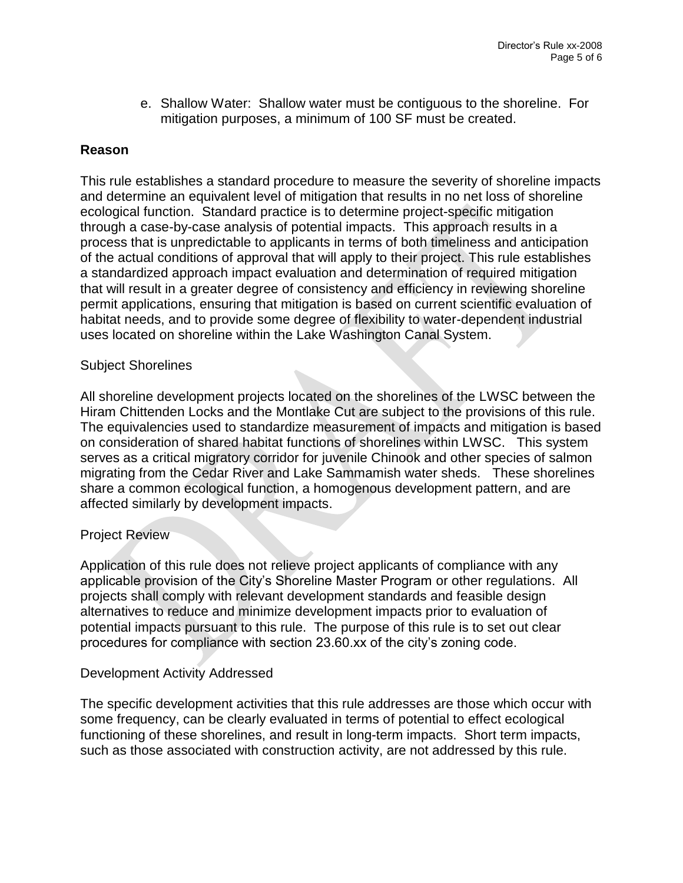e. Shallow Water: Shallow water must be contiguous to the shoreline. For mitigation purposes, a minimum of 100 SF must be created.

# **Reason**

This rule establishes a standard procedure to measure the severity of shoreline impacts and determine an equivalent level of mitigation that results in no net loss of shoreline ecological function. Standard practice is to determine project-specific mitigation through a case-by-case analysis of potential impacts. This approach results in a process that is unpredictable to applicants in terms of both timeliness and anticipation of the actual conditions of approval that will apply to their project. This rule establishes a standardized approach impact evaluation and determination of required mitigation that will result in a greater degree of consistency and efficiency in reviewing shoreline permit applications, ensuring that mitigation is based on current scientific evaluation of habitat needs, and to provide some degree of flexibility to water-dependent industrial uses located on shoreline within the Lake Washington Canal System.

## Subject Shorelines

All shoreline development projects located on the shorelines of the LWSC between the Hiram Chittenden Locks and the Montlake Cut are subject to the provisions of this rule. The equivalencies used to standardize measurement of impacts and mitigation is based on consideration of shared habitat functions of shorelines within LWSC. This system serves as a critical migratory corridor for juvenile Chinook and other species of salmon migrating from the Cedar River and Lake Sammamish water sheds. These shorelines share a common ecological function, a homogenous development pattern, and are affected similarly by development impacts.

#### Project Review

Application of this rule does not relieve project applicants of compliance with any applicable provision of the City's Shoreline Master Program or other regulations. All projects shall comply with relevant development standards and feasible design alternatives to reduce and minimize development impacts prior to evaluation of potential impacts pursuant to this rule. The purpose of this rule is to set out clear procedures for compliance with section 23.60.xx of the city's zoning code.

# Development Activity Addressed

The specific development activities that this rule addresses are those which occur with some frequency, can be clearly evaluated in terms of potential to effect ecological functioning of these shorelines, and result in long-term impacts. Short term impacts, such as those associated with construction activity, are not addressed by this rule.